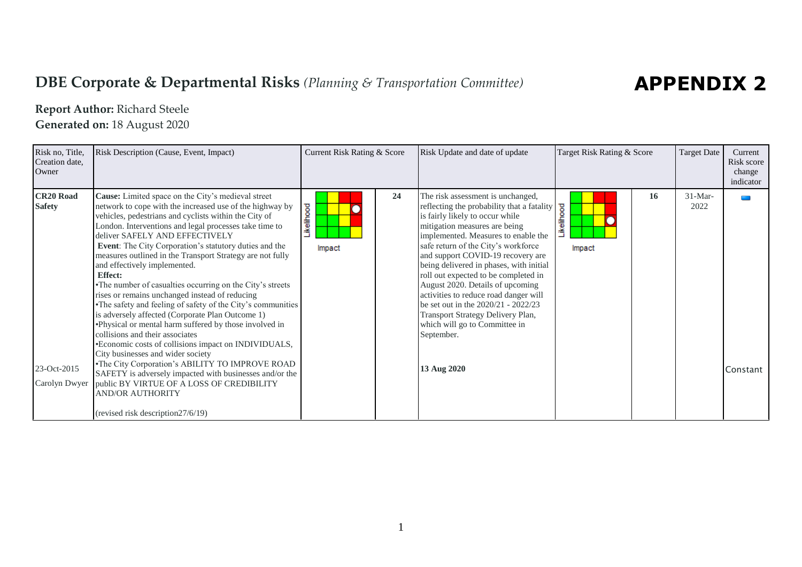## **DBE Corporate & Departmental Risks** *(Planning & Transportation Committee)*

## **APPENDIX 2**

## **Report Author:** Richard Steele

**Generated on:** 18 August 2020

| Risk no, Title,<br>Creation date,<br>Owner                        | Risk Description (Cause, Event, Impact)                                                                                                                                                                                                                                                                                                                                                                                                                                                                                                                                                                                                                                                                                                                                                                                                                                                                                                                                                                                                                                                             | Current Risk Rating & Score | Risk Update and date of update                                                                                                                                                                                                                                                                                                                                                                                                                                                                                                                                                   | Target Risk Rating & Score      | <b>Target Date</b> | Current<br>Risk score<br>change<br>indicator |
|-------------------------------------------------------------------|-----------------------------------------------------------------------------------------------------------------------------------------------------------------------------------------------------------------------------------------------------------------------------------------------------------------------------------------------------------------------------------------------------------------------------------------------------------------------------------------------------------------------------------------------------------------------------------------------------------------------------------------------------------------------------------------------------------------------------------------------------------------------------------------------------------------------------------------------------------------------------------------------------------------------------------------------------------------------------------------------------------------------------------------------------------------------------------------------------|-----------------------------|----------------------------------------------------------------------------------------------------------------------------------------------------------------------------------------------------------------------------------------------------------------------------------------------------------------------------------------------------------------------------------------------------------------------------------------------------------------------------------------------------------------------------------------------------------------------------------|---------------------------------|--------------------|----------------------------------------------|
| <b>CR20 Road</b><br><b>Safety</b><br>23-Oct-2015<br>Carolyn Dwyer | Cause: Limited space on the City's medieval street<br>network to cope with the increased use of the highway by<br>vehicles, pedestrians and cyclists within the City of<br>London. Interventions and legal processes take time to<br>deliver SAFELY AND EFFECTIVELY<br>Event: The City Corporation's statutory duties and the<br>measures outlined in the Transport Strategy are not fully<br>and effectively implemented.<br><b>Effect:</b><br>•The number of casualties occurring on the City's streets<br>rises or remains unchanged instead of reducing<br>The safety and feeling of safety of the City's communities<br>is adversely affected (Corporate Plan Outcome 1)<br>•Physical or mental harm suffered by those involved in<br>collisions and their associates<br>•Economic costs of collisions impact on INDIVIDUALS,<br>City businesses and wider society<br>•The City Corporation's ABILITY TO IMPROVE ROAD<br>SAFETY is adversely impacted with businesses and/or the<br>public BY VIRTUE OF A LOSS OF CREDIBILITY<br><b>AND/OR AUTHORITY</b><br>(revised risk description 27/6/19) | 24<br>Likelihood<br>Impact  | The risk assessment is unchanged,<br>reflecting the probability that a fatality<br>is fairly likely to occur while<br>mitigation measures are being<br>implemented. Measures to enable the<br>safe return of the City's workforce<br>and support COVID-19 recovery are<br>being delivered in phases, with initial<br>roll out expected to be completed in<br>August 2020. Details of upcoming<br>activities to reduce road danger will<br>be set out in the 2020/21 - 2022/23<br>Transport Strategy Delivery Plan,<br>which will go to Committee in<br>September.<br>13 Aug 2020 | 16<br><b>kelihood</b><br>Impact | $31-Mar-$<br>2022  | Constant                                     |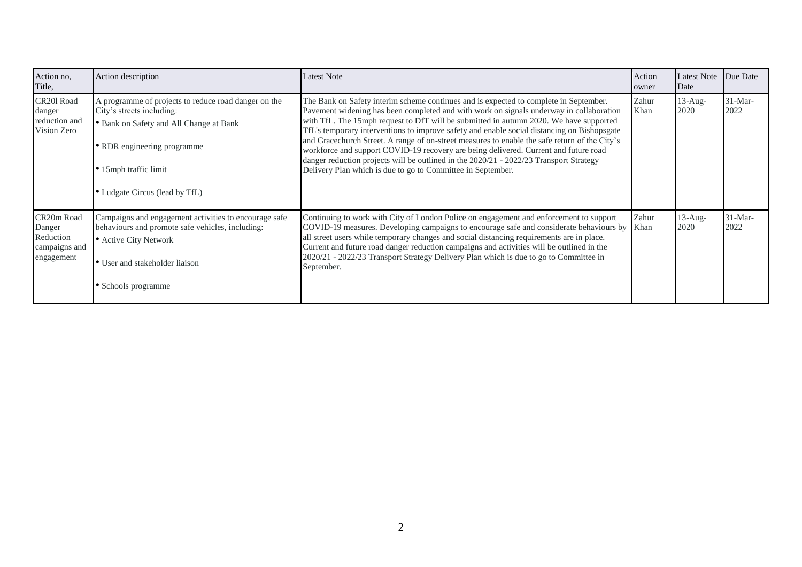| Action no,<br>Title,                                             | Action description                                                                                                                                                                                                     | Latest Note                                                                                                                                                                                                                                                                                                                                                                                                                                                                                                                                                                                                                                                                                                                 | Action<br>owner | Latest Note Due Date<br>Date |                   |
|------------------------------------------------------------------|------------------------------------------------------------------------------------------------------------------------------------------------------------------------------------------------------------------------|-----------------------------------------------------------------------------------------------------------------------------------------------------------------------------------------------------------------------------------------------------------------------------------------------------------------------------------------------------------------------------------------------------------------------------------------------------------------------------------------------------------------------------------------------------------------------------------------------------------------------------------------------------------------------------------------------------------------------------|-----------------|------------------------------|-------------------|
| CR201 Road<br>danger<br>reduction and<br>Vision Zero             | A programme of projects to reduce road danger on the<br>City's streets including:<br>• Bank on Safety and All Change at Bank<br>• RDR engineering programme<br>• 15mph traffic limit<br>• Ludgate Circus (lead by TfL) | The Bank on Safety interim scheme continues and is expected to complete in September.<br>Pavement widening has been completed and with work on signals underway in collaboration<br>with TfL. The 15mph request to DfT will be submitted in autumn 2020. We have supported<br>TfL's temporary interventions to improve safety and enable social distancing on Bishopsgate<br>and Gracechurch Street. A range of on-street measures to enable the safe return of the City's<br>workforce and support COVID-19 recovery are being delivered. Current and future road<br>danger reduction projects will be outlined in the 2020/21 - 2022/23 Transport Strategy<br>Delivery Plan which is due to go to Committee in September. | Zahur<br>Khan   | $13$ -Aug-<br>2020           | $31-Mar-$<br>2022 |
| CR20m Road<br>Danger<br>Reduction<br>campaigns and<br>engagement | Campaigns and engagement activities to encourage safe<br>behaviours and promote safe vehicles, including:<br>• Active City Network<br>• User and stakeholder liaison<br>• Schools programme                            | Continuing to work with City of London Police on engagement and enforcement to support<br>COVID-19 measures. Developing campaigns to encourage safe and considerate behaviours by<br>all street users while temporary changes and social distancing requirements are in place.<br>Current and future road danger reduction campaigns and activities will be outlined in the<br>2020/21 - 2022/23 Transport Strategy Delivery Plan which is due to go to Committee in<br>September.                                                                                                                                                                                                                                          | Zahur<br>Khan   | $13$ -Aug-<br>2020           | $31-Mar-$<br>2022 |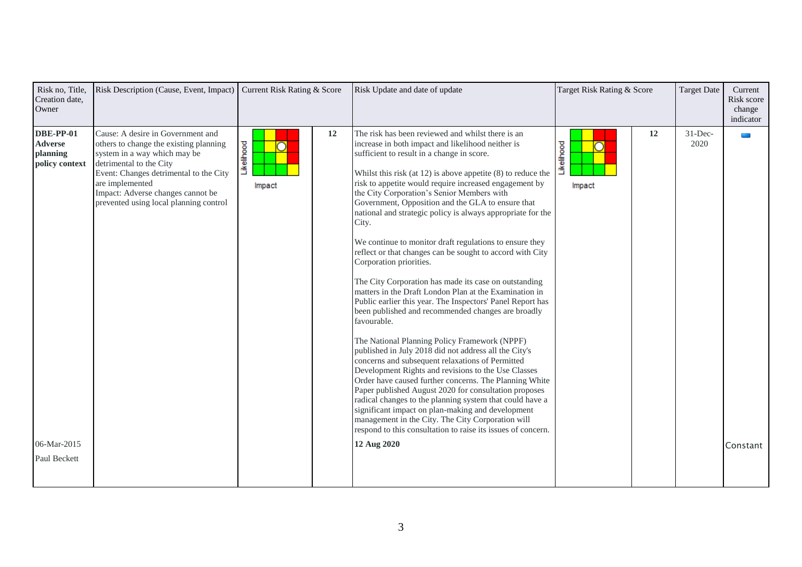| Risk no, Title,<br>Creation date,<br>Owner                                                      | Risk Description (Cause, Event, Impact)                                                                                                                                                                                                                                            | Current Risk Rating & Score |    | Risk Update and date of update                                                                                                                                                                                                                                                                                                                                                                                                                                                                                                                                                                                                                                                                                                                                                                                                                                                                                                                                                                                                                                                                                                                                                                                                                                                                                                                                                                                                                                       | Target Risk Rating & Score |    | <b>Target Date</b> | Current<br>Risk score<br>change<br>indicator |
|-------------------------------------------------------------------------------------------------|------------------------------------------------------------------------------------------------------------------------------------------------------------------------------------------------------------------------------------------------------------------------------------|-----------------------------|----|----------------------------------------------------------------------------------------------------------------------------------------------------------------------------------------------------------------------------------------------------------------------------------------------------------------------------------------------------------------------------------------------------------------------------------------------------------------------------------------------------------------------------------------------------------------------------------------------------------------------------------------------------------------------------------------------------------------------------------------------------------------------------------------------------------------------------------------------------------------------------------------------------------------------------------------------------------------------------------------------------------------------------------------------------------------------------------------------------------------------------------------------------------------------------------------------------------------------------------------------------------------------------------------------------------------------------------------------------------------------------------------------------------------------------------------------------------------------|----------------------------|----|--------------------|----------------------------------------------|
| <b>DBE-PP-01</b><br><b>Adverse</b><br>planning<br>policy context<br>06-Mar-2015<br>Paul Beckett | Cause: A desire in Government and<br>others to change the existing planning<br>system in a way which may be<br>detrimental to the City<br>Event: Changes detrimental to the City<br>are implemented<br>Impact: Adverse changes cannot be<br>prevented using local planning control | Likelihood<br>Impact        | 12 | The risk has been reviewed and whilst there is an<br>increase in both impact and likelihood neither is<br>sufficient to result in a change in score.<br>Whilst this risk (at $12$ ) is above appetite $(8)$ to reduce the<br>risk to appetite would require increased engagement by<br>the City Corporation's Senior Members with<br>Government, Opposition and the GLA to ensure that<br>national and strategic policy is always appropriate for the<br>City.<br>We continue to monitor draft regulations to ensure they<br>reflect or that changes can be sought to accord with City<br>Corporation priorities.<br>The City Corporation has made its case on outstanding<br>matters in the Draft London Plan at the Examination in<br>Public earlier this year. The Inspectors' Panel Report has<br>been published and recommended changes are broadly<br>favourable.<br>The National Planning Policy Framework (NPPF)<br>published in July 2018 did not address all the City's<br>concerns and subsequent relaxations of Permitted<br>Development Rights and revisions to the Use Classes<br>Order have caused further concerns. The Planning White<br>Paper published August 2020 for consultation proposes<br>radical changes to the planning system that could have a<br>significant impact on plan-making and development<br>management in the City. The City Corporation will<br>respond to this consultation to raise its issues of concern.<br>12 Aug 2020 | Likelihood<br>Impact       | 12 | $31$ -Dec-<br>2020 | $\mathcal{L}(\mathcal{A})$<br>Constant       |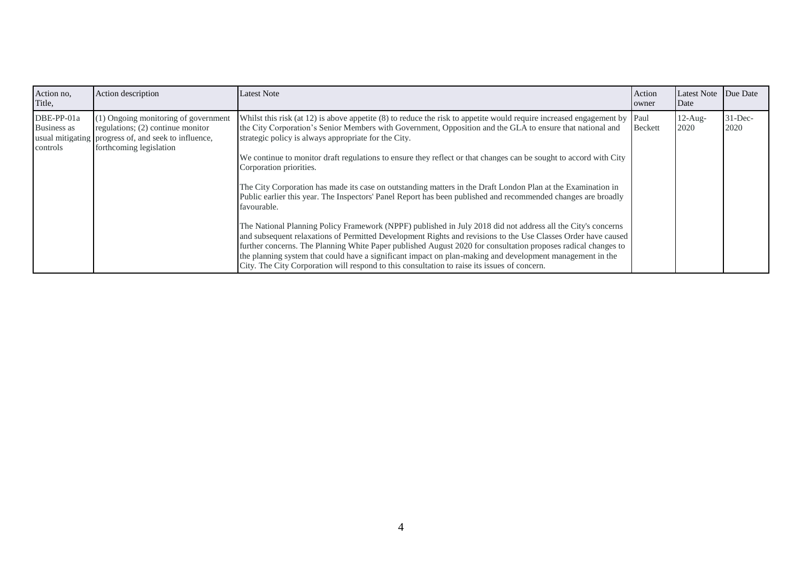| Action no,<br>Title,                  | Action description                                                                                                                                             | Latest Note                                                                                                                                                                                                                                                                                                                                                                                                                                   | Action<br>owner | <b>Latest Note</b><br>Date | Due Date            |
|---------------------------------------|----------------------------------------------------------------------------------------------------------------------------------------------------------------|-----------------------------------------------------------------------------------------------------------------------------------------------------------------------------------------------------------------------------------------------------------------------------------------------------------------------------------------------------------------------------------------------------------------------------------------------|-----------------|----------------------------|---------------------|
| DBE-PP-01a<br>Business as<br>controls | (1) Ongoing monitoring of government<br>regulations; $(2)$ continue monitor<br>usual mitigating progress of, and seek to influence,<br>forthcoming legislation | Whilst this risk (at 12) is above appetite (8) to reduce the risk to appetite would require increased engagement by Paul<br>the City Corporation's Senior Members with Government, Opposition and the GLA to ensure that national and<br>strategic policy is always appropriate for the City.<br>We continue to monitor draft regulations to ensure they reflect or that changes can be sought to accord with City<br>Corporation priorities. | <b>Beckett</b>  | $12$ -Aug-<br>2020         | $31 - Dec-$<br>2020 |
|                                       |                                                                                                                                                                | The City Corporation has made its case on outstanding matters in the Draft London Plan at the Examination in<br>Public earlier this year. The Inspectors' Panel Report has been published and recommended changes are broadly<br>favourable.<br>The National Planning Policy Framework (NPPF) published in July 2018 did not address all the City's concerns                                                                                  |                 |                            |                     |
|                                       |                                                                                                                                                                | and subsequent relaxations of Permitted Development Rights and revisions to the Use Classes Order have caused<br>further concerns. The Planning White Paper published August 2020 for consultation proposes radical changes to<br>the planning system that could have a significant impact on plan-making and development management in the<br>City. The City Corporation will respond to this consultation to raise its issues of concern.   |                 |                            |                     |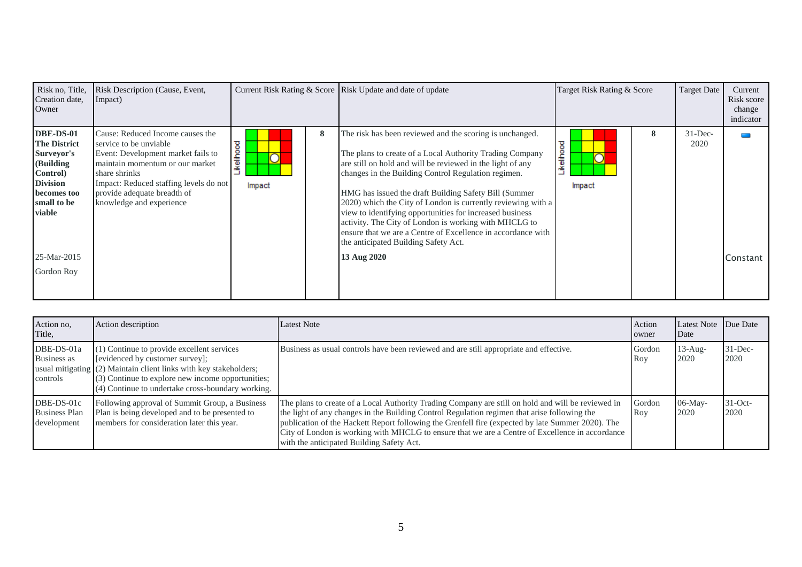| Risk no, Title,<br>Creation date,<br>Owner                                                                                                                      | Risk Description (Cause, Event,<br>Impact)                                                                                                                                                                                                                 |                          | Current Risk Rating & Score Risk Update and date of update                                                                                                                                                                                                                                                                                                                                                                                                                                                                                                                                                     | Target Risk Rating & Score | <b>Target Date</b> | Current<br>Risk score<br>change<br>indicator |
|-----------------------------------------------------------------------------------------------------------------------------------------------------------------|------------------------------------------------------------------------------------------------------------------------------------------------------------------------------------------------------------------------------------------------------------|--------------------------|----------------------------------------------------------------------------------------------------------------------------------------------------------------------------------------------------------------------------------------------------------------------------------------------------------------------------------------------------------------------------------------------------------------------------------------------------------------------------------------------------------------------------------------------------------------------------------------------------------------|----------------------------|--------------------|----------------------------------------------|
| DBE-DS-01<br><b>The District</b><br>Surveyor's<br>(Building<br>Control)<br><b>Division</b><br>becomes too<br>small to be<br>viable<br>25-Mar-2015<br>Gordon Roy | Cause: Reduced Income causes the<br>service to be unviable.<br>Event: Development market fails to<br>maintain momentum or our market<br>share shrinks<br>Impact: Reduced staffing levels do not<br>provide adequate breadth of<br>knowledge and experience | 8<br>ikelihood<br>Impact | The risk has been reviewed and the scoring is unchanged.<br>The plans to create of a Local Authority Trading Company<br>are still on hold and will be reviewed in the light of any<br>changes in the Building Control Regulation regimen.<br>HMG has issued the draft Building Safety Bill (Summer<br>2020) which the City of London is currently reviewing with a<br>view to identifying opportunities for increased business<br>activity. The City of London is working with MHCLG to<br>ensure that we are a Centre of Excellence in accordance with<br>the anticipated Building Safety Act.<br>13 Aug 2020 | 8<br>ikelihood<br>Impact   | $31$ -Dec-<br>2020 | Constant                                     |

| Action no,<br>Title,                              | Action description                                                                                                                                                                                                                                           | <b>Latest Note</b>                                                                                                                                                                                                                                                                                                                                                                                                                                      | Action<br>owner | Latest Note Due Date<br>Date |                     |
|---------------------------------------------------|--------------------------------------------------------------------------------------------------------------------------------------------------------------------------------------------------------------------------------------------------------------|---------------------------------------------------------------------------------------------------------------------------------------------------------------------------------------------------------------------------------------------------------------------------------------------------------------------------------------------------------------------------------------------------------------------------------------------------------|-----------------|------------------------------|---------------------|
| DBE-DS-01a<br>Business as<br>controls             | (1) Continue to provide excellent services<br>[evidenced by customer survey];<br>usual mitigating (2) Maintain client links with key stakeholders;<br>(3) Continue to explore new income opportunities;<br>(4) Continue to undertake cross-boundary working. | Business as usual controls have been reviewed and are still appropriate and effective.                                                                                                                                                                                                                                                                                                                                                                  | Gordon<br>Roy   | $13$ -Aug-<br>2020           | $31 - Dec-$<br>2020 |
| DBE-DS-01c<br><b>Business Plan</b><br>development | Following approval of Summit Group, a Business<br>Plan is being developed and to be presented to<br>members for consideration later this year.                                                                                                               | The plans to create of a Local Authority Trading Company are still on hold and will be reviewed in<br>the light of any changes in the Building Control Regulation regimen that arise following the<br>publication of the Hackett Report following the Grenfell fire (expected by late Summer 2020). The<br>City of London is working with MHCLG to ensure that we are a Centre of Excellence in accordance<br>with the anticipated Building Safety Act. | Gordon<br>Roy   | $06$ -May-<br>2020           | $31-Oct$ -<br>2020  |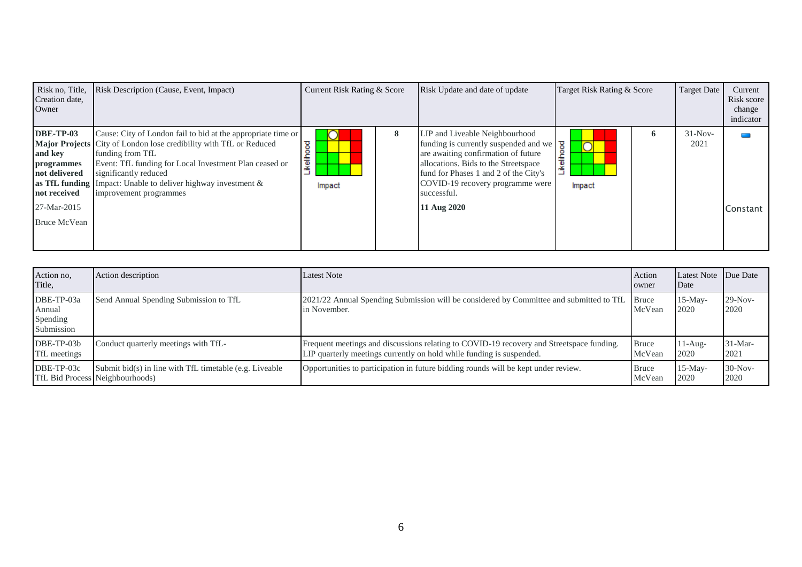| Risk no, Title,<br>Creation date,<br>Owner                                                                                         | Risk Description (Cause, Event, Impact)                                                                                                                                                                                                                                                                               | Current Risk Rating & Score |   | Risk Update and date of update                                                                                                                                                                                                                                                                         | Target Risk Rating & Score         | <b>Target Date</b> | Current<br>Risk score<br>change<br>indicator |
|------------------------------------------------------------------------------------------------------------------------------------|-----------------------------------------------------------------------------------------------------------------------------------------------------------------------------------------------------------------------------------------------------------------------------------------------------------------------|-----------------------------|---|--------------------------------------------------------------------------------------------------------------------------------------------------------------------------------------------------------------------------------------------------------------------------------------------------------|------------------------------------|--------------------|----------------------------------------------|
| <b>DBE-TP-03</b><br>and key<br>programmes<br>not delivered<br>as TfL funding<br>not received<br>27-Mar-2015<br><b>Bruce McVean</b> | Cause: City of London fail to bid at the appropriate time or<br>Major Projects City of London lose credibility with TfL or Reduced<br>funding from TfL<br>Event: TfL funding for Local Investment Plan ceased or<br>significantly reduced<br>Impact: Unable to deliver highway investment &<br>improvement programmes | ष्ठ<br>keliho<br>Impact     | 8 | LIP and Liveable Neighbourhood<br>funding is currently suspended and we<br>are awaiting confirmation of future<br>allocations. Bids to the Streetspace<br>and for Phase 1 and 2 of the City<br>fund for Phases 1 and 2 of the City's<br>COVID-19 recovery programme were<br>successful.<br>11 Aug 2020 | $\overline{\phantom{a}}$<br>Impact | $31-Nov-$<br>2021  | Constant                                     |

| Action no,<br>Title,                           | Action description                                                                           | Latest Note                                                                                                                                                      | Action<br>owner        | Latest Note Due Date<br>Date |                   |
|------------------------------------------------|----------------------------------------------------------------------------------------------|------------------------------------------------------------------------------------------------------------------------------------------------------------------|------------------------|------------------------------|-------------------|
| DBE-TP-03a<br>Annual<br>Spending<br>Submission | Send Annual Spending Submission to TfL                                                       | 2021/22 Annual Spending Submission will be considered by Committee and submitted to TfL<br>in November.                                                          | <b>Bruce</b><br>McVean | $15-Mav-$<br>2020            | $29-Nov-$<br>2020 |
| DBE-TP-03b<br>TfL meetings                     | Conduct quarterly meetings with TfL-                                                         | Frequent meetings and discussions relating to COVID-19 recovery and Streetspace funding.<br>LIP quarterly meetings currently on hold while funding is suspended. | <b>Bruce</b><br>McVean | $11-Au$ g-<br>2020           | $31-Mar-$<br>2021 |
| DBE-TP-03c                                     | Submit $bid(s)$ in line with TfL timetable (e.g. Liveable<br>TfL Bid Process Neighbourhoods) | Opportunities to participation in future bidding rounds will be kept under review.                                                                               | <b>Bruce</b><br>McVean | $15-Mav-$<br>2020            | $30-Nov-$<br>2020 |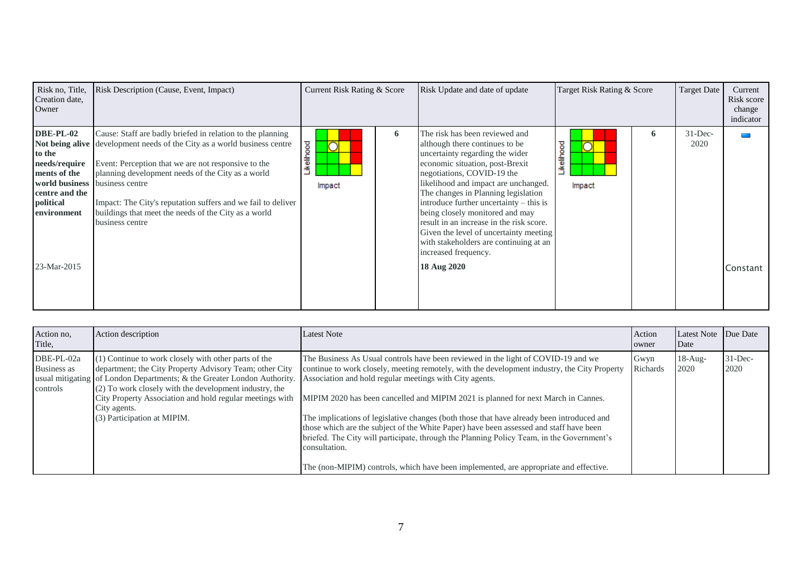| Risk no, Title,<br>Creation date,<br>Owner                                                                               | Risk Description (Cause, Event, Impact)                                                                                                                                                                                                                                                                                                                                                                                         | Current Risk Rating & Score             |   | Risk Update and date of update                                                                                                                                                                                                                                                                                                                                                                                                                                                                           | Target Risk Rating & Score |   | <b>Target Date</b> | Current<br>Risk score<br>change<br>indicator |
|--------------------------------------------------------------------------------------------------------------------------|---------------------------------------------------------------------------------------------------------------------------------------------------------------------------------------------------------------------------------------------------------------------------------------------------------------------------------------------------------------------------------------------------------------------------------|-----------------------------------------|---|----------------------------------------------------------------------------------------------------------------------------------------------------------------------------------------------------------------------------------------------------------------------------------------------------------------------------------------------------------------------------------------------------------------------------------------------------------------------------------------------------------|----------------------------|---|--------------------|----------------------------------------------|
| <b>DBE-PL-02</b><br>to the<br>needs/require<br>ments of the<br>centre and the<br>political<br>environment<br>23-Mar-2015 | Cause: Staff are badly briefed in relation to the planning<br>Not being alive development needs of the City as a world business centre<br>Event: Perception that we are not responsive to the<br>planning development needs of the City as a world<br>world business business centre<br>Impact: The City's reputation suffers and we fail to deliver<br>buildings that meet the needs of the City as a world<br>business centre | <b>kellhood</b><br>$\sqrt{ }$<br>Impact | 6 | The risk has been reviewed and<br>although there continues to be<br>uncertainty regarding the wider<br>economic situation, post-Brexit<br>negotiations, COVID-19 the<br>likelihood and impact are unchanged.<br>The changes in Planning legislation<br>introduce further uncertainty – this is<br>being closely monitored and may<br>result in an increase in the risk score.<br>Given the level of uncertainty meeting<br>with stakeholders are continuing at an<br>increased frequency.<br>18 Aug 2020 | ikelihood<br>Impact        | 6 | $31$ -Dec-<br>2020 | Constant                                     |

| Action no,<br>Title,                  | Action description                                                                                                                                                                                                                                                                                                                                              | <b>Latest Note</b>                                                                                                                                                                                                                                                                                                                                                                                                                                                                                                                                                                                                                                                                                                              | Action<br>owner  | <b>Latest Note</b><br>Date | Due Date           |
|---------------------------------------|-----------------------------------------------------------------------------------------------------------------------------------------------------------------------------------------------------------------------------------------------------------------------------------------------------------------------------------------------------------------|---------------------------------------------------------------------------------------------------------------------------------------------------------------------------------------------------------------------------------------------------------------------------------------------------------------------------------------------------------------------------------------------------------------------------------------------------------------------------------------------------------------------------------------------------------------------------------------------------------------------------------------------------------------------------------------------------------------------------------|------------------|----------------------------|--------------------|
| DBE-PL-02a<br>Business as<br>controls | (1) Continue to work closely with other parts of the<br>department; the City Property Advisory Team; other City<br>usual mitigating of London Departments; & the Greater London Authority.<br>(2) To work closely with the development industry, the<br>City Property Association and hold regular meetings with<br>City agents.<br>(3) Participation at MIPIM. | The Business As Usual controls have been reviewed in the light of COVID-19 and we<br>continue to work closely, meeting remotely, with the development industry, the City Property<br>Association and hold regular meetings with City agents.<br>MIPIM 2020 has been cancelled and MIPIM 2021 is planned for next March in Cannes.<br>The implications of legislative changes (both those that have already been introduced and<br>those which are the subject of the White Paper) have been assessed and staff have been<br>briefed. The City will participate, through the Planning Policy Team, in the Government's<br>consultation.<br>The (non-MIPIM) controls, which have been implemented, are appropriate and effective. | Gwyn<br>Richards | $18-Au$ g-<br>2020         | $31$ -Dec-<br>2020 |